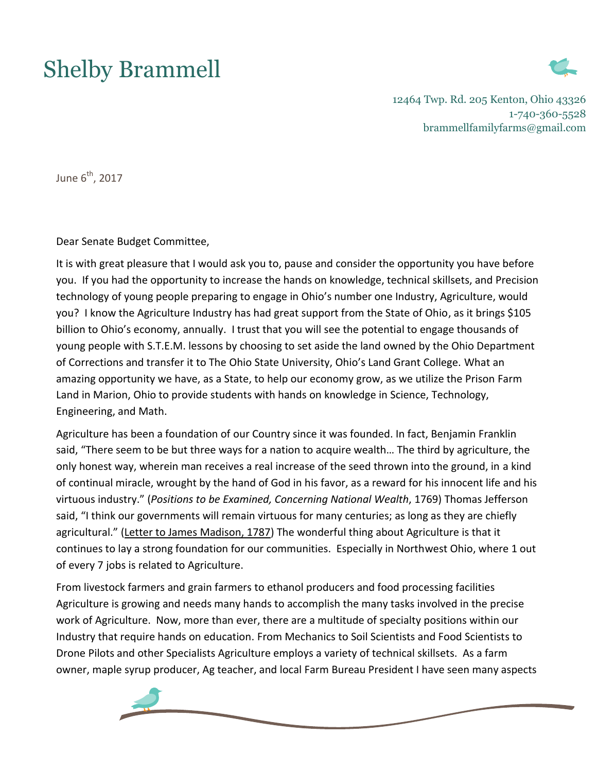## Shelby Brammell



12464 Twp. Rd. 205 Kenton, Ohio 43326 1-740-360-5528 brammellfamilyfarms@gmail.com

June  $6<sup>th</sup>$ , 2017

Dear Senate Budget Committee,

It is with great pleasure that I would ask you to, pause and consider the opportunity you have before you. If you had the opportunity to increase the hands on knowledge, technical skillsets, and Precision technology of young people preparing to engage in Ohio's number one Industry, Agriculture, would you? I know the Agriculture Industry has had great support from the State of Ohio, as it brings \$105 billion to Ohio's economy, annually. I trust that you will see the potential to engage thousands of young people with S.T.E.M. lessons by choosing to set aside the land owned by the Ohio Department of Corrections and transfer it to The Ohio State University, Ohio's Land Grant College. What an amazing opportunity we have, as a State, to help our economy grow, as we utilize the Prison Farm Land in Marion, Ohio to provide students with hands on knowledge in Science, Technology, Engineering, and Math.

Agriculture has been a foundation of our Country since it was founded. In fact, Benjamin Franklin said, "There seem to be but three ways for a nation to acquire wealth… The third by agriculture, the only honest way, wherein man receives a real increase of the seed thrown into the ground, in a kind of continual miracle, wrought by the hand of God in his favor, as a reward for his innocent life and his virtuous industry." (*Positions to be Examined, Concerning National Wealth*, 1769) Thomas Jefferson said, "I think our governments will remain virtuous for many centuries; as long as they are chiefly agricultural." (Letter to James [Madison,](http://www.monticello.org/site/jefferson/quotations-agriculture) 1787) The wonderful thing about Agriculture is that it continues to lay a strong foundation for our communities. Especially in Northwest Ohio, where 1 out of every 7 jobs is related to Agriculture.

From livestock farmers and grain farmers to ethanol producers and food processing facilities Agriculture is growing and needs many hands to accomplish the many tasks involved in the precise work of Agriculture. Now, more than ever, there are a multitude of specialty positions within our Industry that require hands on education. From Mechanics to Soil Scientists and Food Scientists to Drone Pilots and other Specialists Agriculture employs a variety of technical skillsets. As a farm owner, maple syrup producer, Ag teacher, and local Farm Bureau President I have seen many aspects

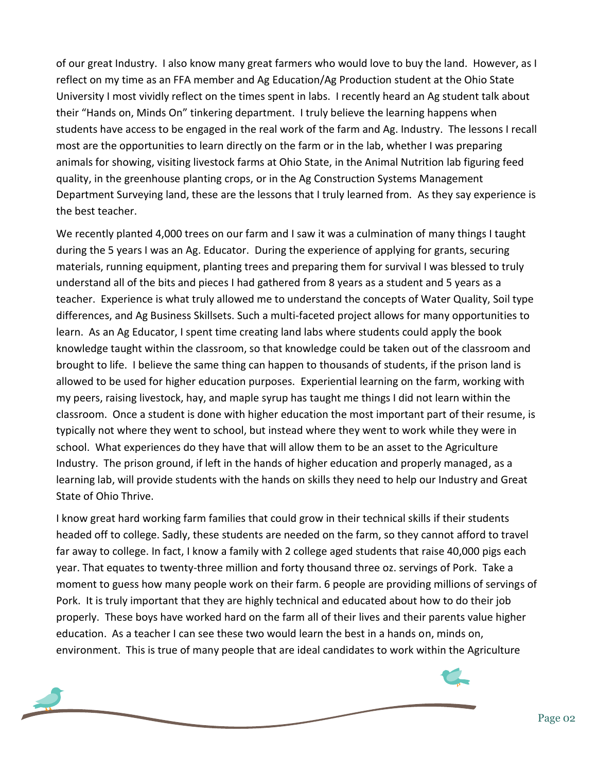of our great Industry. I also know many great farmers who would love to buy the land. However, as I reflect on my time as an FFA member and Ag Education/Ag Production student at the Ohio State University I most vividly reflect on the times spent in labs. I recently heard an Ag student talk about their "Hands on, Minds On" tinkering department. I truly believe the learning happens when students have access to be engaged in the real work of the farm and Ag. Industry. The lessons I recall most are the opportunities to learn directly on the farm or in the lab, whether I was preparing animals for showing, visiting livestock farms at Ohio State, in the Animal Nutrition lab figuring feed quality, in the greenhouse planting crops, or in the Ag Construction Systems Management Department Surveying land, these are the lessons that I truly learned from. As they say experience is the best teacher.

We recently planted 4,000 trees on our farm and I saw it was a culmination of many things I taught during the 5 years I was an Ag. Educator. During the experience of applying for grants, securing materials, running equipment, planting trees and preparing them for survival I was blessed to truly understand all of the bits and pieces I had gathered from 8 years as a student and 5 years as a teacher. Experience is what truly allowed me to understand the concepts of Water Quality, Soil type differences, and Ag Business Skillsets. Such a multi-faceted project allows for many opportunities to learn. As an Ag Educator, I spent time creating land labs where students could apply the book knowledge taught within the classroom, so that knowledge could be taken out of the classroom and brought to life. I believe the same thing can happen to thousands of students, if the prison land is allowed to be used for higher education purposes. Experiential learning on the farm, working with my peers, raising livestock, hay, and maple syrup has taught me things I did not learn within the classroom. Once a student is done with higher education the most important part of their resume, is typically not where they went to school, but instead where they went to work while they were in school. What experiences do they have that will allow them to be an asset to the Agriculture Industry. The prison ground, if left in the hands of higher education and properly managed, as a learning lab, will provide students with the hands on skills they need to help our Industry and Great State of Ohio Thrive.

I know great hard working farm families that could grow in their technical skills if their students headed off to college. Sadly, these students are needed on the farm, so they cannot afford to travel far away to college. In fact, I know a family with 2 college aged students that raise 40,000 pigs each year. That equates to twenty-three million and forty thousand three oz. servings of Pork. Take a moment to guess how many people work on their farm. 6 people are providing millions of servings of Pork. It is truly important that they are highly technical and educated about how to do their job properly. These boys have worked hard on the farm all of their lives and their parents value higher education. As a teacher I can see these two would learn the best in a hands on, minds on, environment. This is true of many people that are ideal candidates to work within the Agriculture